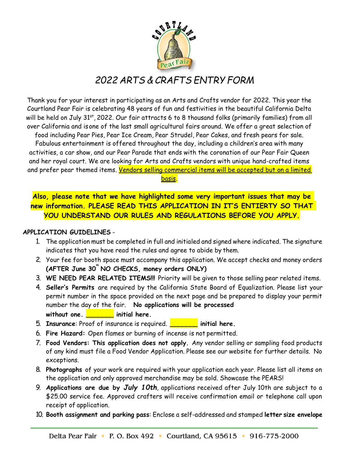

## *2022 ARTS & CRAFTS ENTRY FORM*

Thank you for your interest in participating as an Arts and Crafts vendor for 2022. This year the Courtland Pear Fair is celebrating 48 years of fun and festivities in the beautiful California Delta will be held on July 31st, 2022. Our fair attracts 6 to 8 thousand folks (primarily families) from all over California and isone of the last small agricultural fairs around. We offer a great selection of food including Pear Pies, Pear Ice Cream, Pear Strudel, Pear Cakes, and fresh pears for sale. Fabulous entertainment is offered throughout the day, including a children's area with many activities, a car show, and our Pear Parade that ends with the coronation of our Pear Fair Queen and her royal court. We are looking for Arts and Crafts vendors with unique hand-crafted items and prefer pear themed items. <mark>Vendors selling commercial items will be accepted but on a limited</mark> basis.

**Also, please note that we have highlighted some very important issues that may be new information. PLEASE READ THIS APPLICATION IN IT'S ENTIERTY SO THAT YOU UNDERSTAND OUR RULES AND REGULATIONS BEFORE YOU APPLY.**

## **APPLICATION GUIDELINES** -

- 1. The application must be completed in full and initialed and signed where indicated. The signature indicates that you have read the rules and agree to abide by them.
- 2. Your fee for booth space must accompany this application. We accept checks and money orders **(AFTER June 30 th NO CHECKS, money orders ONLY)**
- 3. **WE NEED PEAR RELATED ITEMS!!!** Priority will be given to those selling pear related items.
- 4. **Seller's Permits** are required by the California State Board of Equalization. Please list your permit number in the space provided on the next page and be prepared to display your permit number the day of the fair. **No applications will be processed without one. \_\_\_\_\_\_\_ initial here.**
- 5. **Insurance**: Proof of insurance is required. **\_\_\_\_\_\_\_ initial here.**
- 6. **Fire Hazard:** Open flames or burning of incense is not permitted.
- 7. **Food Vendors: This application does not apply.** Any vendor selling or sampling food products of any kind must file a Food Vendor Application. Please see our website for further details. No exceptions.
- 8. **Photographs** of your work are required with your application each year. Please list all items on the application and only approved merchandise may be sold. Showcase the PEARS!
- 9. **Applications are due by** *July 10th*, applications received after July 10th are subject to a \$25.00 service fee. Approved crafters will receive confirmation email or telephone call upon receipt of application.
- 10. **Booth assignment and parking pass**: Enclose a self-addressed and stamped **letter size envelope**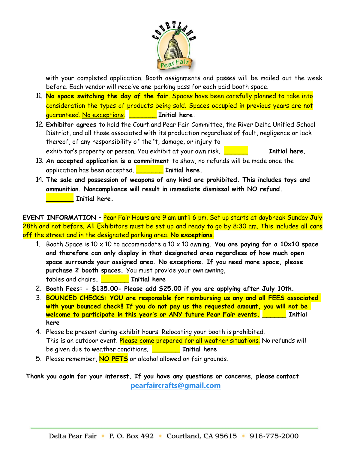

with your completed application. Booth assignments and passes will be mailed out the week before. Each vendor will receive **one** parking pass for each paid booth space.

- 11. **No space switching the day of the fair**. Spaces have been carefully planned to take into consideration the types of products being sold. Spaces occupied in previous years are not guaranteed. No exceptions. \_\_\_\_\_\_\_ **Initial here.**
- 12. **Exhibitor agrees** to hold the Courtland Pear Fair Committee, the River Delta Unified School District, and all those associated with its production regardless of fault, negligence or lack thereof, of any responsibility of theft, damage, or injury to exhibitor's property or person. You exhibit at your own risk. \_\_\_\_\_\_ **Initial here.**
- 13. **An accepted application is a commitment** to show, no refunds will be made once the application has been accepted. \_\_\_\_\_\_\_ **Initial here.**
- 14. **The sale and possession of weapons of any kind are prohibited. This includes toys and ammunition. Noncompliance will result in immediate dismissal with NO refund. \_\_\_\_\_\_\_ Initial here.**

**EVENT INFORMATION** – Pear Fair Hours are 9 am until 6 pm. Set up starts at daybreak Sunday July 28th and not before. All Exhibitors must be set up and ready to go by 8:30 am. This includes all cars off the street and in the designated parking area. **No exceptions**.

- 1. Booth Space is 10 x 10 to accommodate a 10 x 10 awning. **You are paying for a 10x10 space and therefore can only display in that designated area regardless of how much open space surrounds your assigned area. No exceptions. If you need more space, please purchase 2 booth spaces.** You must provide your own awning, tables and chairs**. \_\_\_\_\_\_\_ Initial here**
- 2. **Booth Fees: - \$135.00- Please add \$25.00 if you are applying after July 10th.**
- 3. **BOUNCED CHECKS: YOU are responsible for reimbursing us any and all FEES associated with your bounced check!! If you do not pay us the requested amount, you will not be welcome to participate in this year's or ANY future Pear Fair events. \_\_\_\_\_\_ Initial here**
- 4. Please be present during exhibit hours. Relocating your booth is prohibited. This is an outdoor event. Please come prepared for all weather situations. No refunds will be given due to weather conditions. **\_\_\_\_\_\_\_ Initial here**
- 5. Please remember, **NO PETS** or alcohol allowed on fair grounds.

**Thank you again for your interest. If you have any questions or concerns, please contact [pearfaircrafts@gmail.com](mailto:pearfaircrafts@gmail.com)**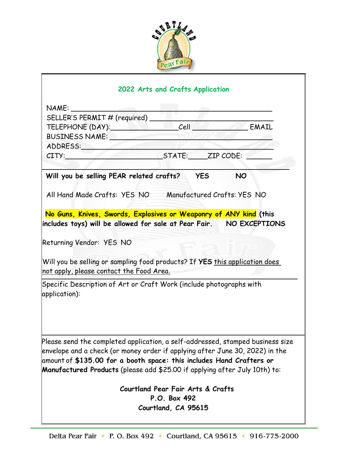

## **2022 Arts and Crafts Application**

| NAME:                                                                                                                                                                                                                                                                                                                |                                   |            |           |
|----------------------------------------------------------------------------------------------------------------------------------------------------------------------------------------------------------------------------------------------------------------------------------------------------------------------|-----------------------------------|------------|-----------|
| SELLER'S PERMIT # (required)                                                                                                                                                                                                                                                                                         |                                   |            |           |
| TELEPHONE (DAY): Cell Cell Canal EMAIL                                                                                                                                                                                                                                                                               |                                   |            |           |
| BUSINESS NAME: NAME:                                                                                                                                                                                                                                                                                                 |                                   |            |           |
|                                                                                                                                                                                                                                                                                                                      |                                   |            |           |
| CITY: CITY: CITY:                                                                                                                                                                                                                                                                                                    |                                   |            |           |
| Will you be selling PEAR related crafts?                                                                                                                                                                                                                                                                             |                                   | <b>YES</b> | <b>NO</b> |
| All Hand Made Crafts: YES NO Manufactured Crafts: YES NO                                                                                                                                                                                                                                                             |                                   |            |           |
| No Guns, Knives, Swords, Explosives or Weaponry of ANY kind (this                                                                                                                                                                                                                                                    |                                   |            |           |
| includes toys) will be allowed for sale at Pear Fair.     NO EXCEPTIONS                                                                                                                                                                                                                                              |                                   |            |           |
| Returning Vendor: YES NO                                                                                                                                                                                                                                                                                             |                                   |            |           |
| Will you be selling or sampling food products? If YES this application does<br>not apply, please contact the Food Area.                                                                                                                                                                                              |                                   |            |           |
| Specific Description of Art or Craft Work (include photographs with<br>application):                                                                                                                                                                                                                                 |                                   |            |           |
| Please send the completed application, a self-addressed, stamped business size<br>envelope and a check (or money order if applying after June 30, 2022) in the<br>amount of \$135.00 for a booth space: this includes Hand Crafters or<br>Manufactured Products (please add \$25.00 if applying after July 10th) to: |                                   |            |           |
|                                                                                                                                                                                                                                                                                                                      |                                   |            |           |
|                                                                                                                                                                                                                                                                                                                      | Courtland Pear Fair Arts & Crafts |            |           |
|                                                                                                                                                                                                                                                                                                                      | P.O. Box 492                      |            |           |
|                                                                                                                                                                                                                                                                                                                      | Courtland, CA 95615               |            |           |
|                                                                                                                                                                                                                                                                                                                      |                                   |            |           |